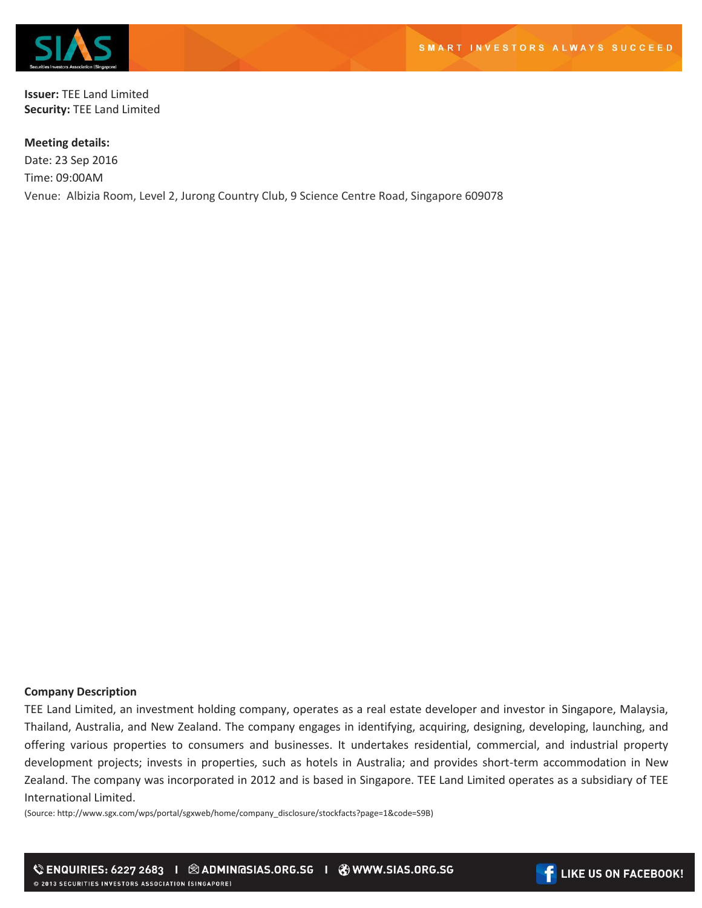

**Issuer:** TEE Land Limited **Security:** TEE Land Limited

**Meeting details:**  Date: 23 Sep 2016 Time: 09:00AM Venue: Albizia Room, Level 2, Jurong Country Club, 9 Science Centre Road, Singapore 609078

## **Company Description**

TEE Land Limited, an investment holding company, operates as a real estate developer and investor in Singapore, Malaysia, Thailand, Australia, and New Zealand. The company engages in identifying, acquiring, designing, developing, launching, and offering various properties to consumers and businesses. It undertakes residential, commercial, and industrial property development projects; invests in properties, such as hotels in Australia; and provides short-term accommodation in New Zealand. The company was incorporated in 2012 and is based in Singapore. TEE Land Limited operates as a subsidiary of TEE International Limited.

(Source: http://www.sgx.com/wps/portal/sgxweb/home/company\_disclosure/stockfacts?page=1&code=S9B)